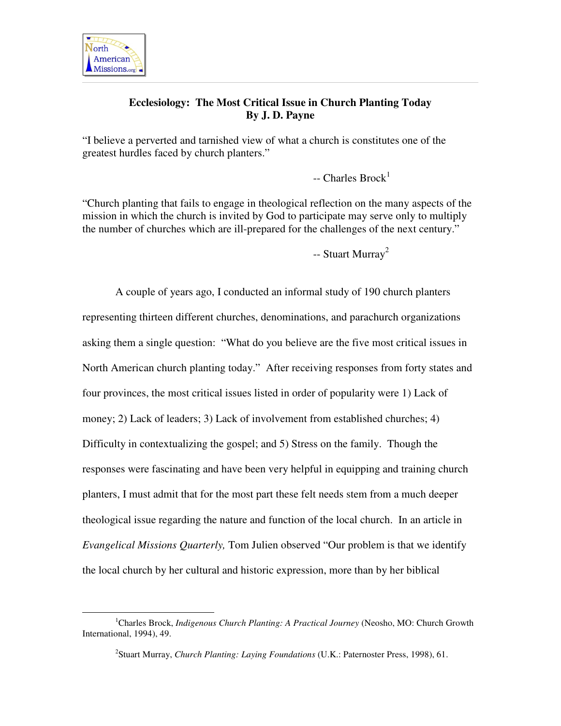

 $\overline{a}$ 

# **Ecclesiology: The Most Critical Issue in Church Planting Today By J. D. Payne**

"I believe a perverted and tarnished view of what a church is constitutes one of the greatest hurdles faced by church planters."

 $-$  Charles Brock<sup>1</sup>

"Church planting that fails to engage in theological reflection on the many aspects of the mission in which the church is invited by God to participate may serve only to multiply the number of churches which are ill-prepared for the challenges of the next century."

-- Stuart Murray<sup>2</sup>

 A couple of years ago, I conducted an informal study of 190 church planters representing thirteen different churches, denominations, and parachurch organizations asking them a single question: "What do you believe are the five most critical issues in North American church planting today." After receiving responses from forty states and four provinces, the most critical issues listed in order of popularity were 1) Lack of money; 2) Lack of leaders; 3) Lack of involvement from established churches; 4) Difficulty in contextualizing the gospel; and 5) Stress on the family. Though the responses were fascinating and have been very helpful in equipping and training church planters, I must admit that for the most part these felt needs stem from a much deeper theological issue regarding the nature and function of the local church. In an article in *Evangelical Missions Quarterly,* Tom Julien observed "Our problem is that we identify the local church by her cultural and historic expression, more than by her biblical

<sup>1</sup>Charles Brock, *Indigenous Church Planting: A Practical Journey* (Neosho, MO: Church Growth International, 1994), 49.

<sup>2</sup> Stuart Murray, *Church Planting: Laying Foundations* (U.K.: Paternoster Press, 1998), 61.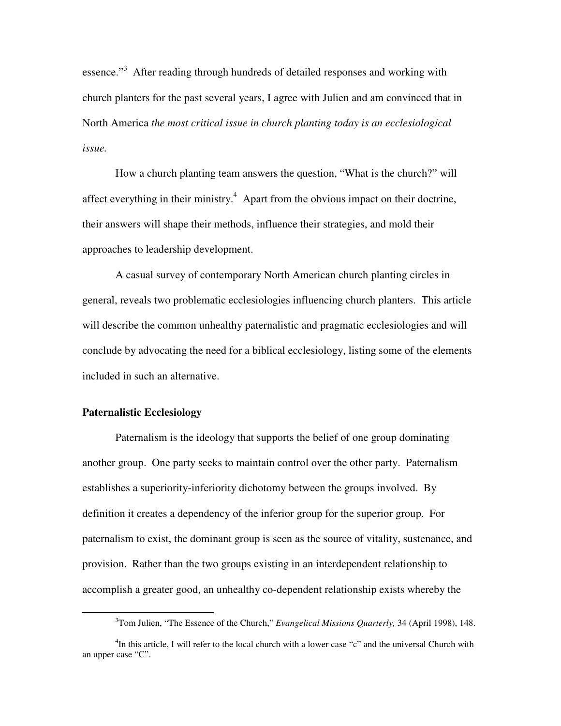essence."<sup>3</sup> After reading through hundreds of detailed responses and working with church planters for the past several years, I agree with Julien and am convinced that in North America *the most critical issue in church planting today is an ecclesiological issue.*

 How a church planting team answers the question, "What is the church?" will affect everything in their ministry.<sup>4</sup> Apart from the obvious impact on their doctrine, their answers will shape their methods, influence their strategies, and mold their approaches to leadership development.

 A casual survey of contemporary North American church planting circles in general, reveals two problematic ecclesiologies influencing church planters. This article will describe the common unhealthy paternalistic and pragmatic ecclesiologies and will conclude by advocating the need for a biblical ecclesiology, listing some of the elements included in such an alternative.

## **Paternalistic Ecclesiology**

 $\overline{a}$ 

 Paternalism is the ideology that supports the belief of one group dominating another group. One party seeks to maintain control over the other party. Paternalism establishes a superiority-inferiority dichotomy between the groups involved. By definition it creates a dependency of the inferior group for the superior group. For paternalism to exist, the dominant group is seen as the source of vitality, sustenance, and provision. Rather than the two groups existing in an interdependent relationship to accomplish a greater good, an unhealthy co-dependent relationship exists whereby the

<sup>3</sup>Tom Julien, "The Essence of the Church," *Evangelical Missions Quarterly,* 34 (April 1998), 148.

<sup>&</sup>lt;sup>4</sup>In this article, I will refer to the local church with a lower case "c" and the universal Church with an upper case "C".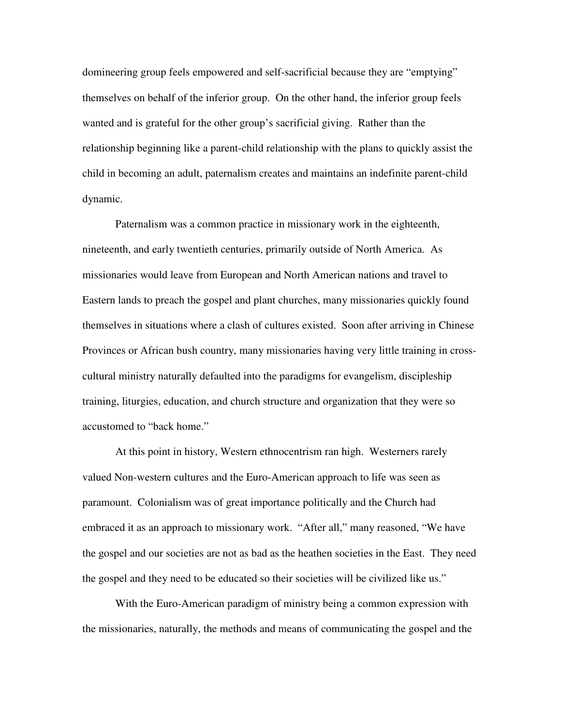domineering group feels empowered and self-sacrificial because they are "emptying" themselves on behalf of the inferior group. On the other hand, the inferior group feels wanted and is grateful for the other group's sacrificial giving. Rather than the relationship beginning like a parent-child relationship with the plans to quickly assist the child in becoming an adult, paternalism creates and maintains an indefinite parent-child dynamic.

 Paternalism was a common practice in missionary work in the eighteenth, nineteenth, and early twentieth centuries, primarily outside of North America. As missionaries would leave from European and North American nations and travel to Eastern lands to preach the gospel and plant churches, many missionaries quickly found themselves in situations where a clash of cultures existed. Soon after arriving in Chinese Provinces or African bush country, many missionaries having very little training in crosscultural ministry naturally defaulted into the paradigms for evangelism, discipleship training, liturgies, education, and church structure and organization that they were so accustomed to "back home."

 At this point in history, Western ethnocentrism ran high. Westerners rarely valued Non-western cultures and the Euro-American approach to life was seen as paramount. Colonialism was of great importance politically and the Church had embraced it as an approach to missionary work. "After all," many reasoned, "We have the gospel and our societies are not as bad as the heathen societies in the East. They need the gospel and they need to be educated so their societies will be civilized like us."

 With the Euro-American paradigm of ministry being a common expression with the missionaries, naturally, the methods and means of communicating the gospel and the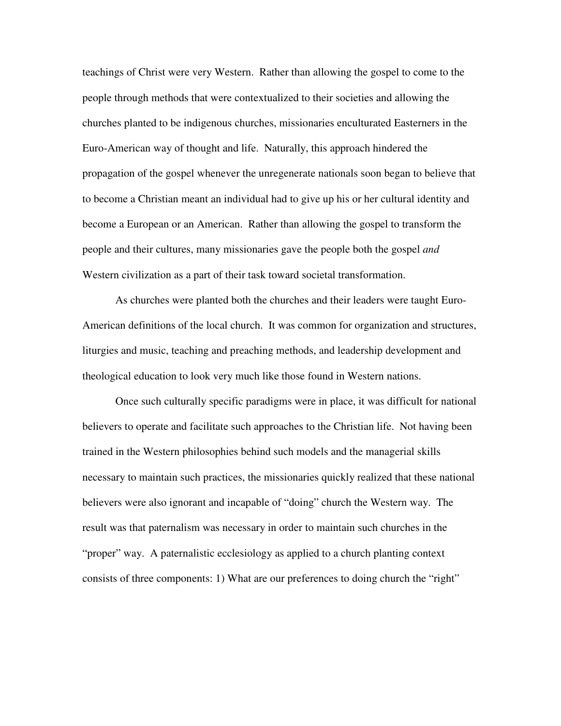teachings of Christ were very Western. Rather than allowing the gospel to come to the people through methods that were contextualized to their societies and allowing the churches planted to be indigenous churches, missionaries enculturated Easterners in the Euro-American way of thought and life. Naturally, this approach hindered the propagation of the gospel whenever the unregenerate nationals soon began to believe that to become a Christian meant an individual had to give up his or her cultural identity and become a European or an American. Rather than allowing the gospel to transform the people and their cultures, many missionaries gave the people both the gospel *and* Western civilization as a part of their task toward societal transformation.

 As churches were planted both the churches and their leaders were taught Euro-American definitions of the local church. It was common for organization and structures, liturgies and music, teaching and preaching methods, and leadership development and theological education to look very much like those found in Western nations.

Once such culturally specific paradigms were in place, it was difficult for national believers to operate and facilitate such approaches to the Christian life. Not having been trained in the Western philosophies behind such models and the managerial skills necessary to maintain such practices, the missionaries quickly realized that these national believers were also ignorant and incapable of "doing" church the Western way. The result was that paternalism was necessary in order to maintain such churches in the "proper" way. A paternalistic ecclesiology as applied to a church planting context consists of three components: 1) What are our preferences to doing church the "right"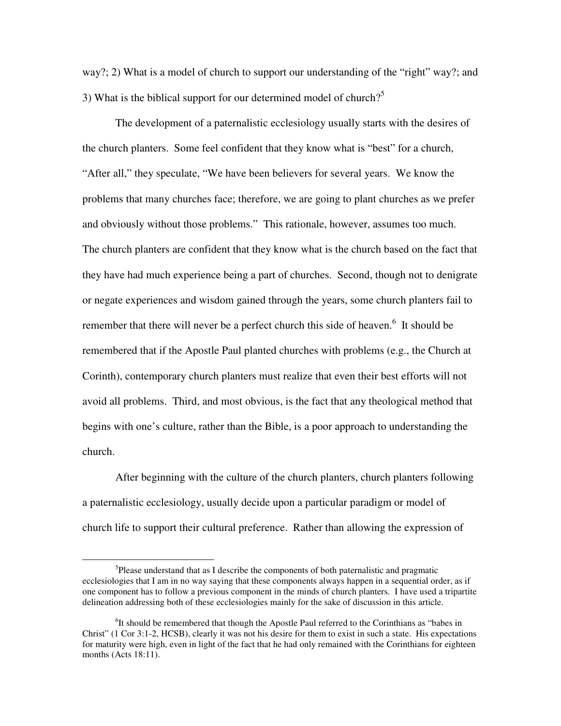way?; 2) What is a model of church to support our understanding of the "right" way?; and 3) What is the biblical support for our determined model of church?<sup>5</sup>

The development of a paternalistic ecclesiology usually starts with the desires of the church planters. Some feel confident that they know what is "best" for a church, "After all," they speculate, "We have been believers for several years. We know the problems that many churches face; therefore, we are going to plant churches as we prefer and obviously without those problems." This rationale, however, assumes too much. The church planters are confident that they know what is the church based on the fact that they have had much experience being a part of churches. Second, though not to denigrate or negate experiences and wisdom gained through the years, some church planters fail to remember that there will never be a perfect church this side of heaven.<sup>6</sup> It should be remembered that if the Apostle Paul planted churches with problems (e.g., the Church at Corinth), contemporary church planters must realize that even their best efforts will not avoid all problems. Third, and most obvious, is the fact that any theological method that begins with one's culture, rather than the Bible, is a poor approach to understanding the church.

After beginning with the culture of the church planters, church planters following a paternalistic ecclesiology, usually decide upon a particular paradigm or model of church life to support their cultural preference. Rather than allowing the expression of

<sup>&</sup>lt;sup>5</sup>Please understand that as I describe the components of both paternalistic and pragmatic ecclesiologies that I am in no way saying that these components always happen in a sequential order, as if one component has to follow a previous component in the minds of church planters. I have used a tripartite delineation addressing both of these ecclesiologies mainly for the sake of discussion in this article.

<sup>&</sup>lt;sup>6</sup>It should be remembered that though the Apostle Paul referred to the Corinthians as "babes in Christ" (1 Cor 3:1-2, HCSB), clearly it was not his desire for them to exist in such a state. His expectations for maturity were high, even in light of the fact that he had only remained with the Corinthians for eighteen months (Acts 18:11).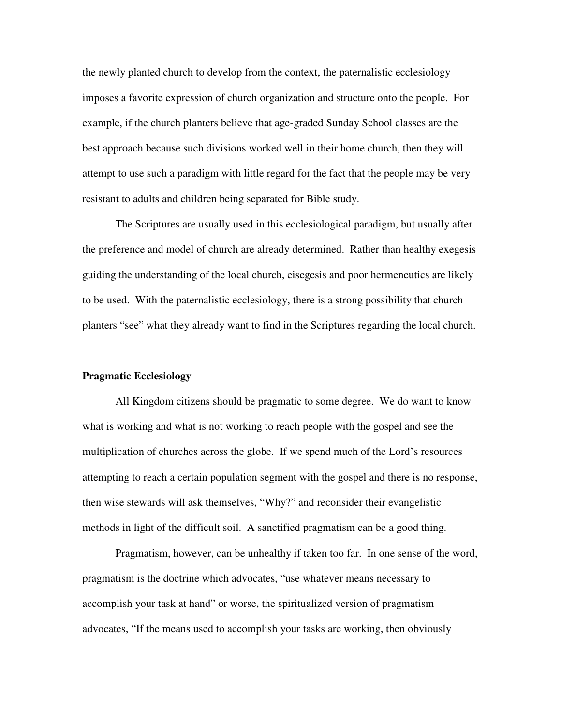the newly planted church to develop from the context, the paternalistic ecclesiology imposes a favorite expression of church organization and structure onto the people. For example, if the church planters believe that age-graded Sunday School classes are the best approach because such divisions worked well in their home church, then they will attempt to use such a paradigm with little regard for the fact that the people may be very resistant to adults and children being separated for Bible study.

The Scriptures are usually used in this ecclesiological paradigm, but usually after the preference and model of church are already determined. Rather than healthy exegesis guiding the understanding of the local church, eisegesis and poor hermeneutics are likely to be used. With the paternalistic ecclesiology, there is a strong possibility that church planters "see" what they already want to find in the Scriptures regarding the local church.

### **Pragmatic Ecclesiology**

 All Kingdom citizens should be pragmatic to some degree. We do want to know what is working and what is not working to reach people with the gospel and see the multiplication of churches across the globe. If we spend much of the Lord's resources attempting to reach a certain population segment with the gospel and there is no response, then wise stewards will ask themselves, "Why?" and reconsider their evangelistic methods in light of the difficult soil. A sanctified pragmatism can be a good thing.

 Pragmatism, however, can be unhealthy if taken too far. In one sense of the word, pragmatism is the doctrine which advocates, "use whatever means necessary to accomplish your task at hand" or worse, the spiritualized version of pragmatism advocates, "If the means used to accomplish your tasks are working, then obviously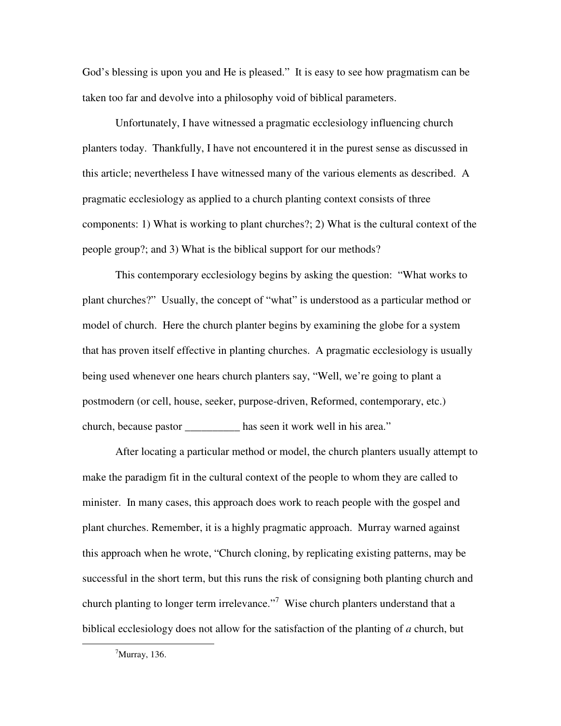God's blessing is upon you and He is pleased." It is easy to see how pragmatism can be taken too far and devolve into a philosophy void of biblical parameters.

 Unfortunately, I have witnessed a pragmatic ecclesiology influencing church planters today. Thankfully, I have not encountered it in the purest sense as discussed in this article; nevertheless I have witnessed many of the various elements as described. A pragmatic ecclesiology as applied to a church planting context consists of three components: 1) What is working to plant churches?; 2) What is the cultural context of the people group?; and 3) What is the biblical support for our methods?

 This contemporary ecclesiology begins by asking the question: "What works to plant churches?" Usually, the concept of "what" is understood as a particular method or model of church. Here the church planter begins by examining the globe for a system that has proven itself effective in planting churches. A pragmatic ecclesiology is usually being used whenever one hears church planters say, "Well, we're going to plant a postmodern (or cell, house, seeker, purpose-driven, Reformed, contemporary, etc.) church, because pastor \_\_\_\_\_\_\_\_\_\_ has seen it work well in his area."

 After locating a particular method or model, the church planters usually attempt to make the paradigm fit in the cultural context of the people to whom they are called to minister. In many cases, this approach does work to reach people with the gospel and plant churches. Remember, it is a highly pragmatic approach. Murray warned against this approach when he wrote, "Church cloning, by replicating existing patterns, may be successful in the short term, but this runs the risk of consigning both planting church and church planting to longer term irrelevance."<sup>7</sup> Wise church planters understand that a biblical ecclesiology does not allow for the satisfaction of the planting of *a* church, but

 $^7$ Murray, 136.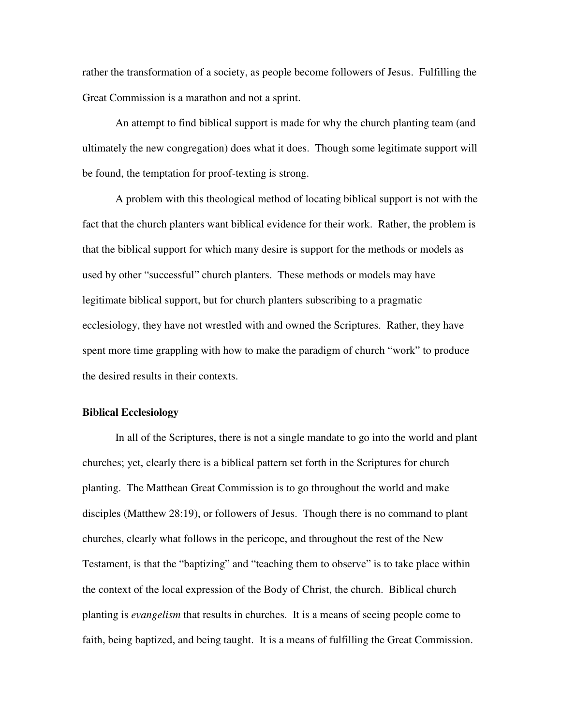rather the transformation of a society, as people become followers of Jesus. Fulfilling the Great Commission is a marathon and not a sprint.

 An attempt to find biblical support is made for why the church planting team (and ultimately the new congregation) does what it does. Though some legitimate support will be found, the temptation for proof-texting is strong.

 A problem with this theological method of locating biblical support is not with the fact that the church planters want biblical evidence for their work. Rather, the problem is that the biblical support for which many desire is support for the methods or models as used by other "successful" church planters. These methods or models may have legitimate biblical support, but for church planters subscribing to a pragmatic ecclesiology, they have not wrestled with and owned the Scriptures. Rather, they have spent more time grappling with how to make the paradigm of church "work" to produce the desired results in their contexts.

## **Biblical Ecclesiology**

In all of the Scriptures, there is not a single mandate to go into the world and plant churches; yet, clearly there is a biblical pattern set forth in the Scriptures for church planting. The Matthean Great Commission is to go throughout the world and make disciples (Matthew 28:19), or followers of Jesus. Though there is no command to plant churches, clearly what follows in the pericope, and throughout the rest of the New Testament, is that the "baptizing" and "teaching them to observe" is to take place within the context of the local expression of the Body of Christ, the church. Biblical church planting is *evangelism* that results in churches. It is a means of seeing people come to faith, being baptized, and being taught. It is a means of fulfilling the Great Commission.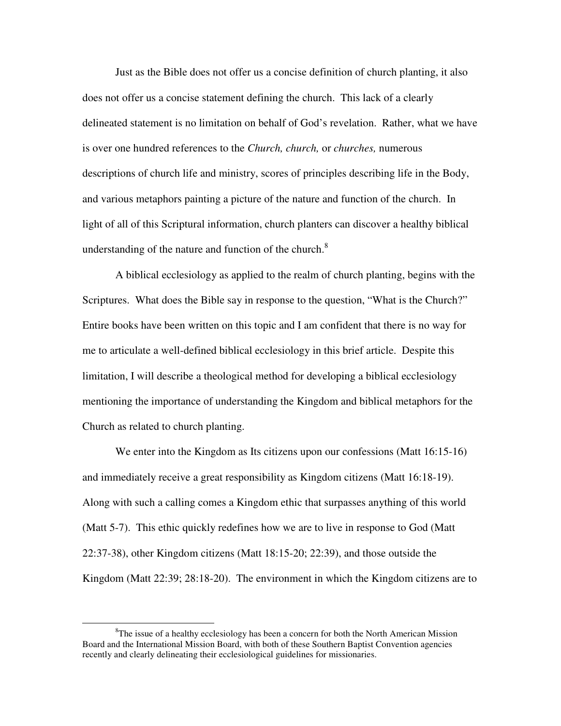Just as the Bible does not offer us a concise definition of church planting, it also does not offer us a concise statement defining the church. This lack of a clearly delineated statement is no limitation on behalf of God's revelation. Rather, what we have is over one hundred references to the *Church, church,* or *churches,* numerous descriptions of church life and ministry, scores of principles describing life in the Body, and various metaphors painting a picture of the nature and function of the church. In light of all of this Scriptural information, church planters can discover a healthy biblical understanding of the nature and function of the church. $8$ 

A biblical ecclesiology as applied to the realm of church planting, begins with the Scriptures. What does the Bible say in response to the question, "What is the Church?" Entire books have been written on this topic and I am confident that there is no way for me to articulate a well-defined biblical ecclesiology in this brief article. Despite this limitation, I will describe a theological method for developing a biblical ecclesiology mentioning the importance of understanding the Kingdom and biblical metaphors for the Church as related to church planting.

We enter into the Kingdom as Its citizens upon our confessions (Matt 16:15-16) and immediately receive a great responsibility as Kingdom citizens (Matt 16:18-19). Along with such a calling comes a Kingdom ethic that surpasses anything of this world (Matt 5-7). This ethic quickly redefines how we are to live in response to God (Matt 22:37-38), other Kingdom citizens (Matt 18:15-20; 22:39), and those outside the Kingdom (Matt 22:39; 28:18-20). The environment in which the Kingdom citizens are to

 ${}^{8}$ The issue of a healthy ecclesiology has been a concern for both the North American Mission Board and the International Mission Board, with both of these Southern Baptist Convention agencies recently and clearly delineating their ecclesiological guidelines for missionaries.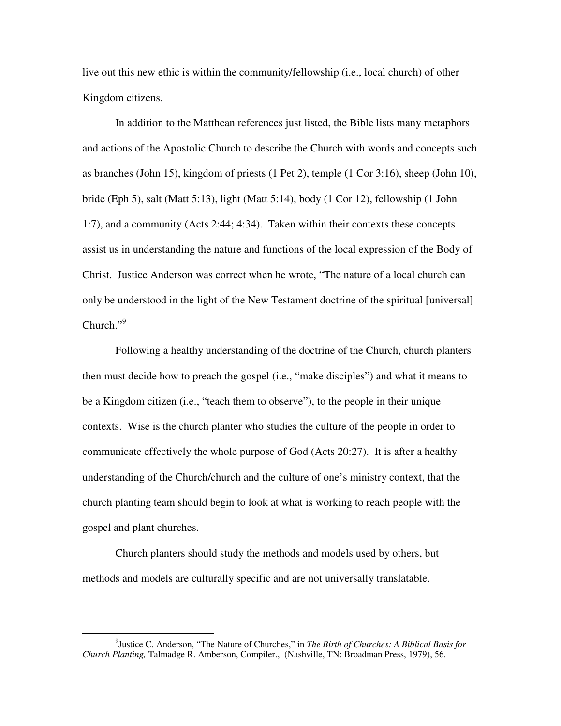live out this new ethic is within the community/fellowship (i.e., local church) of other Kingdom citizens.

In addition to the Matthean references just listed, the Bible lists many metaphors and actions of the Apostolic Church to describe the Church with words and concepts such as branches (John 15), kingdom of priests (1 Pet 2), temple (1 Cor 3:16), sheep (John 10), bride (Eph 5), salt (Matt 5:13), light (Matt 5:14), body (1 Cor 12), fellowship (1 John 1:7), and a community (Acts 2:44; 4:34). Taken within their contexts these concepts assist us in understanding the nature and functions of the local expression of the Body of Christ. Justice Anderson was correct when he wrote, "The nature of a local church can only be understood in the light of the New Testament doctrine of the spiritual [universal]  $Church$ ." $9$ 

 Following a healthy understanding of the doctrine of the Church, church planters then must decide how to preach the gospel (i.e., "make disciples") and what it means to be a Kingdom citizen (i.e., "teach them to observe"), to the people in their unique contexts. Wise is the church planter who studies the culture of the people in order to communicate effectively the whole purpose of God (Acts 20:27). It is after a healthy understanding of the Church/church and the culture of one's ministry context, that the church planting team should begin to look at what is working to reach people with the gospel and plant churches.

Church planters should study the methods and models used by others, but methods and models are culturally specific and are not universally translatable.

<sup>9</sup> Justice C. Anderson, "The Nature of Churches," in *The Birth of Churches: A Biblical Basis for Church Planting,* Talmadge R. Amberson, Compiler., (Nashville, TN: Broadman Press, 1979), 56.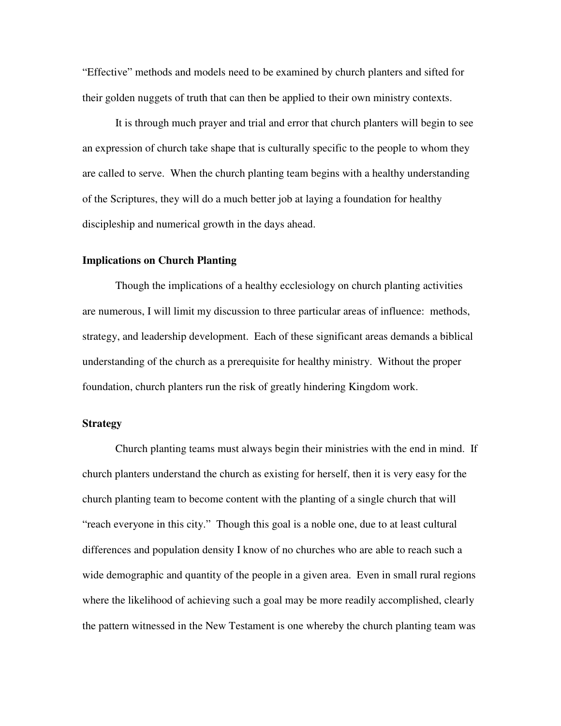"Effective" methods and models need to be examined by church planters and sifted for their golden nuggets of truth that can then be applied to their own ministry contexts.

It is through much prayer and trial and error that church planters will begin to see an expression of church take shape that is culturally specific to the people to whom they are called to serve. When the church planting team begins with a healthy understanding of the Scriptures, they will do a much better job at laying a foundation for healthy discipleship and numerical growth in the days ahead.

#### **Implications on Church Planting**

 Though the implications of a healthy ecclesiology on church planting activities are numerous, I will limit my discussion to three particular areas of influence: methods, strategy, and leadership development. Each of these significant areas demands a biblical understanding of the church as a prerequisite for healthy ministry. Without the proper foundation, church planters run the risk of greatly hindering Kingdom work.

## **Strategy**

Church planting teams must always begin their ministries with the end in mind. If church planters understand the church as existing for herself, then it is very easy for the church planting team to become content with the planting of a single church that will "reach everyone in this city." Though this goal is a noble one, due to at least cultural differences and population density I know of no churches who are able to reach such a wide demographic and quantity of the people in a given area. Even in small rural regions where the likelihood of achieving such a goal may be more readily accomplished, clearly the pattern witnessed in the New Testament is one whereby the church planting team was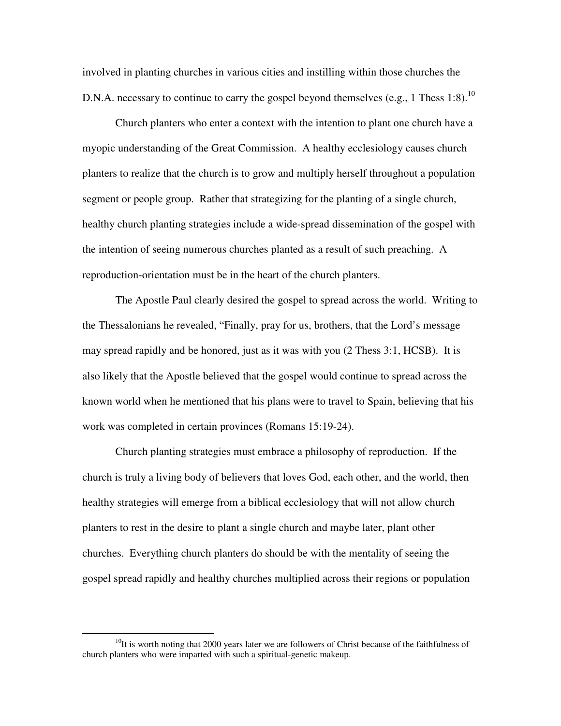involved in planting churches in various cities and instilling within those churches the D.N.A. necessary to continue to carry the gospel beyond themselves (e.g., 1 Thess 1:8).<sup>10</sup>

Church planters who enter a context with the intention to plant one church have a myopic understanding of the Great Commission. A healthy ecclesiology causes church planters to realize that the church is to grow and multiply herself throughout a population segment or people group. Rather that strategizing for the planting of a single church, healthy church planting strategies include a wide-spread dissemination of the gospel with the intention of seeing numerous churches planted as a result of such preaching. A reproduction-orientation must be in the heart of the church planters.

The Apostle Paul clearly desired the gospel to spread across the world. Writing to the Thessalonians he revealed, "Finally, pray for us, brothers, that the Lord's message may spread rapidly and be honored, just as it was with you (2 Thess 3:1, HCSB). It is also likely that the Apostle believed that the gospel would continue to spread across the known world when he mentioned that his plans were to travel to Spain, believing that his work was completed in certain provinces (Romans 15:19-24).

Church planting strategies must embrace a philosophy of reproduction. If the church is truly a living body of believers that loves God, each other, and the world, then healthy strategies will emerge from a biblical ecclesiology that will not allow church planters to rest in the desire to plant a single church and maybe later, plant other churches. Everything church planters do should be with the mentality of seeing the gospel spread rapidly and healthy churches multiplied across their regions or population

 $10$ It is worth noting that 2000 years later we are followers of Christ because of the faithfulness of church planters who were imparted with such a spiritual-genetic makeup.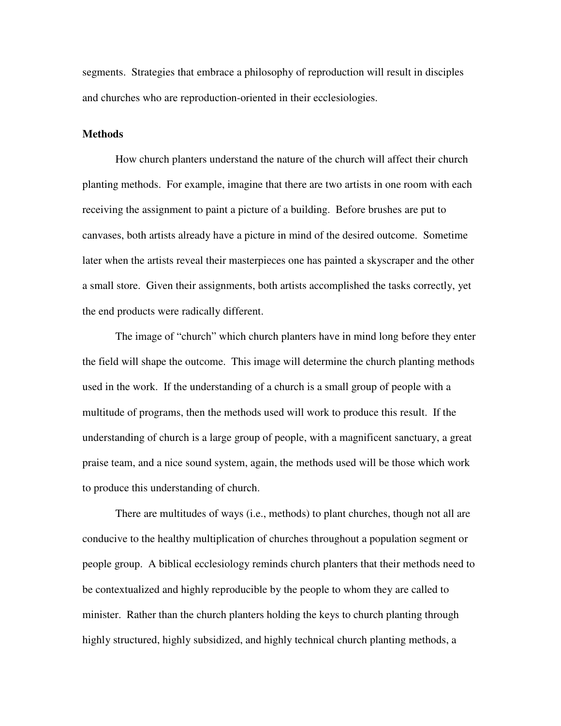segments. Strategies that embrace a philosophy of reproduction will result in disciples and churches who are reproduction-oriented in their ecclesiologies.

#### **Methods**

How church planters understand the nature of the church will affect their church planting methods. For example, imagine that there are two artists in one room with each receiving the assignment to paint a picture of a building. Before brushes are put to canvases, both artists already have a picture in mind of the desired outcome. Sometime later when the artists reveal their masterpieces one has painted a skyscraper and the other a small store. Given their assignments, both artists accomplished the tasks correctly, yet the end products were radically different.

 The image of "church" which church planters have in mind long before they enter the field will shape the outcome. This image will determine the church planting methods used in the work. If the understanding of a church is a small group of people with a multitude of programs, then the methods used will work to produce this result. If the understanding of church is a large group of people, with a magnificent sanctuary, a great praise team, and a nice sound system, again, the methods used will be those which work to produce this understanding of church.

 There are multitudes of ways (i.e., methods) to plant churches, though not all are conducive to the healthy multiplication of churches throughout a population segment or people group. A biblical ecclesiology reminds church planters that their methods need to be contextualized and highly reproducible by the people to whom they are called to minister. Rather than the church planters holding the keys to church planting through highly structured, highly subsidized, and highly technical church planting methods, a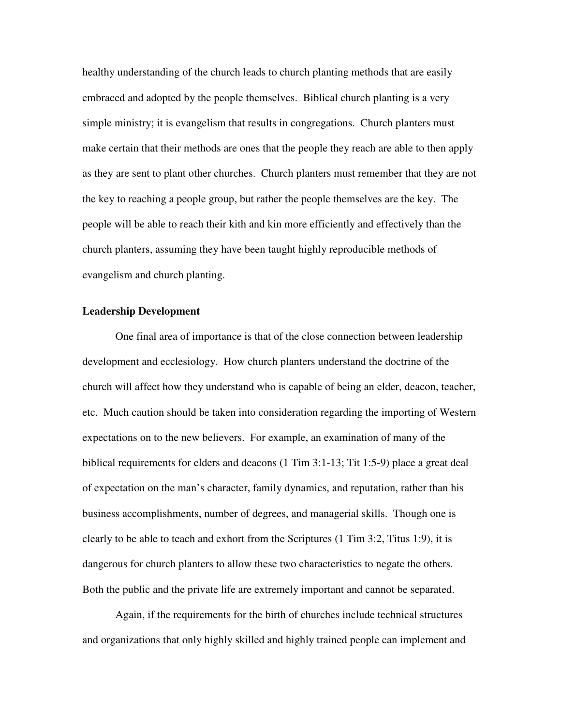healthy understanding of the church leads to church planting methods that are easily embraced and adopted by the people themselves. Biblical church planting is a very simple ministry; it is evangelism that results in congregations. Church planters must make certain that their methods are ones that the people they reach are able to then apply as they are sent to plant other churches. Church planters must remember that they are not the key to reaching a people group, but rather the people themselves are the key. The people will be able to reach their kith and kin more efficiently and effectively than the church planters, assuming they have been taught highly reproducible methods of evangelism and church planting.

#### **Leadership Development**

 One final area of importance is that of the close connection between leadership development and ecclesiology. How church planters understand the doctrine of the church will affect how they understand who is capable of being an elder, deacon, teacher, etc. Much caution should be taken into consideration regarding the importing of Western expectations on to the new believers. For example, an examination of many of the biblical requirements for elders and deacons (1 Tim 3:1-13; Tit 1:5-9) place a great deal of expectation on the man's character, family dynamics, and reputation, rather than his business accomplishments, number of degrees, and managerial skills. Though one is clearly to be able to teach and exhort from the Scriptures (1 Tim 3:2, Titus 1:9), it is dangerous for church planters to allow these two characteristics to negate the others. Both the public and the private life are extremely important and cannot be separated.

 Again, if the requirements for the birth of churches include technical structures and organizations that only highly skilled and highly trained people can implement and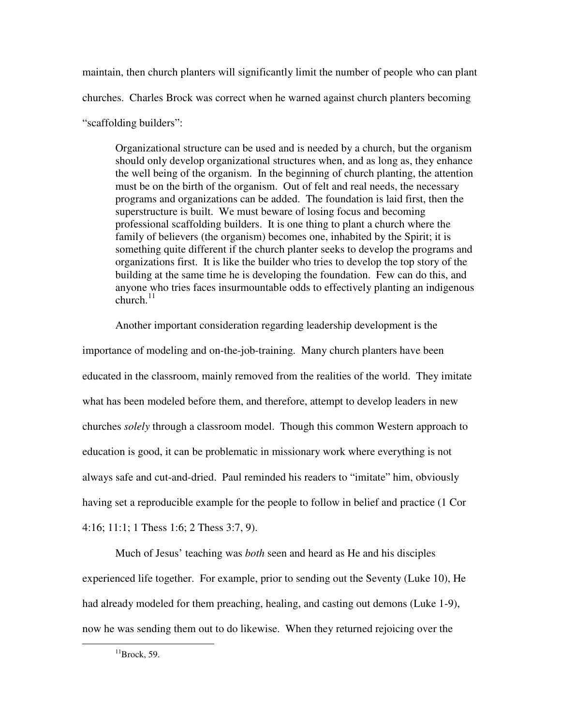maintain, then church planters will significantly limit the number of people who can plant churches. Charles Brock was correct when he warned against church planters becoming "scaffolding builders":

Organizational structure can be used and is needed by a church, but the organism should only develop organizational structures when, and as long as, they enhance the well being of the organism. In the beginning of church planting, the attention must be on the birth of the organism. Out of felt and real needs, the necessary programs and organizations can be added. The foundation is laid first, then the superstructure is built. We must beware of losing focus and becoming professional scaffolding builders. It is one thing to plant a church where the family of believers (the organism) becomes one, inhabited by the Spirit; it is something quite different if the church planter seeks to develop the programs and organizations first. It is like the builder who tries to develop the top story of the building at the same time he is developing the foundation. Few can do this, and anyone who tries faces insurmountable odds to effectively planting an indigenous church. $11$ 

Another important consideration regarding leadership development is the importance of modeling and on-the-job-training. Many church planters have been educated in the classroom, mainly removed from the realities of the world. They imitate what has been modeled before them, and therefore, attempt to develop leaders in new churches *solely* through a classroom model. Though this common Western approach to education is good, it can be problematic in missionary work where everything is not always safe and cut-and-dried. Paul reminded his readers to "imitate" him, obviously having set a reproducible example for the people to follow in belief and practice (1 Cor 4:16; 11:1; 1 Thess 1:6; 2 Thess 3:7, 9).

Much of Jesus' teaching was *both* seen and heard as He and his disciples experienced life together. For example, prior to sending out the Seventy (Luke 10), He had already modeled for them preaching, healing, and casting out demons (Luke 1-9), now he was sending them out to do likewise. When they returned rejoicing over the

 $11$ Brock, 59.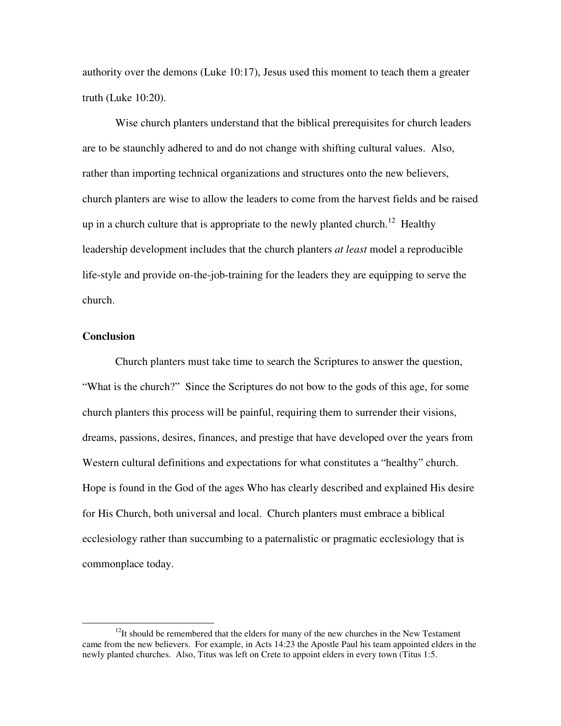authority over the demons (Luke 10:17), Jesus used this moment to teach them a greater truth (Luke 10:20).

Wise church planters understand that the biblical prerequisites for church leaders are to be staunchly adhered to and do not change with shifting cultural values. Also, rather than importing technical organizations and structures onto the new believers, church planters are wise to allow the leaders to come from the harvest fields and be raised up in a church culture that is appropriate to the newly planted church.<sup>12</sup> Healthy leadership development includes that the church planters *at least* model a reproducible life-style and provide on-the-job-training for the leaders they are equipping to serve the church.

#### **Conclusion**

 $\overline{a}$ 

Church planters must take time to search the Scriptures to answer the question, "What is the church?" Since the Scriptures do not bow to the gods of this age, for some church planters this process will be painful, requiring them to surrender their visions, dreams, passions, desires, finances, and prestige that have developed over the years from Western cultural definitions and expectations for what constitutes a "healthy" church. Hope is found in the God of the ages Who has clearly described and explained His desire for His Church, both universal and local. Church planters must embrace a biblical ecclesiology rather than succumbing to a paternalistic or pragmatic ecclesiology that is commonplace today.

 $12$ It should be remembered that the elders for many of the new churches in the New Testament came from the new believers. For example, in Acts 14:23 the Apostle Paul his team appointed elders in the newly planted churches. Also, Titus was left on Crete to appoint elders in every town (Titus 1:5.